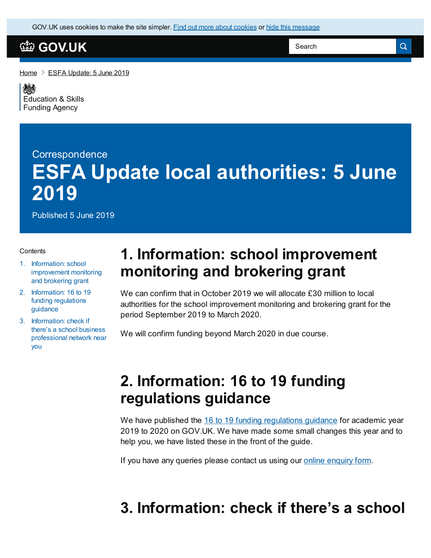GOV.UK uses [cookies](https://www.gov.uk/help/cookies) to make the site simpler. Find out more about cookies or hide this message

### **[GOV.UK](https://www.gov.uk)**

[Home](https://www.gov.uk/)  $\geq$  ESFA [Update:](https://www.gov.uk/government/publications/esfa-update-5-june-2019) 5 June 2019

嫁 [Education](https://www.gov.uk/government/organisations/education-and-skills-funding-agency) & Skills Funding Agency

# **Correspondence ESFA Update local authorities: 5 June 2019**

Published 5 June 2019

#### **Contents**

- 1. Information: school [improvement](#page-0-0) monitoring and brokering grant
- 2. [Information:](#page-0-1) 16 to 19 funding regulations guidance
- 3. Information: check if there's a school business [professional](#page-0-2) network near you

## <span id="page-0-0"></span>**1. Information: school improvement monitoring and brokering grant**

We can confirm that in October 2019 we will allocate £30 million to local authorities for the school improvement monitoring and brokering grant for the period September 2019 to March 2020.

We will confirm funding beyond March 2020 in due course.

## <span id="page-0-1"></span>**2. Information: 16 to 19 funding regulations guidance**

We have published the 16 to 19 funding [regulations](https://www.gov.uk/government/publications/advice-funding-regulations-for-post-16-provision) guidance for academic year 2019 to 2020 on GOV.UK. We have made some small changes this year and to help you, we have listed these in the front of the guide.

If you have any queries please contact us using our online [enquiry](https://form.education.gov.uk/fillform.php?self=1&form_id=HR41uA2F8Dh&type=form&ShowMsg=1&form_name=Knowledge+centre+enquiry+form&noRegister=false&ret=/module/services&noLoginPrompt=1) form.

## <span id="page-0-2"></span>**3. Information: check if there's a school**

Search

Q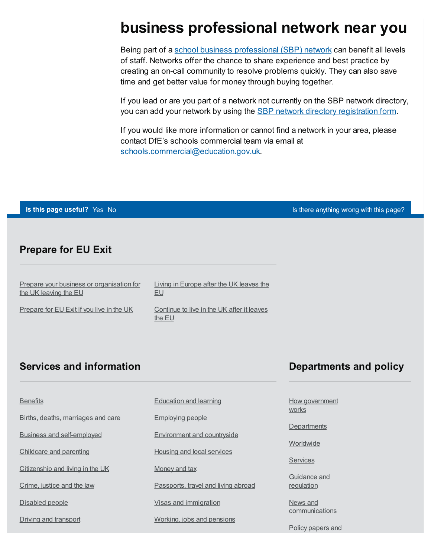## **business professional network near you**

Being part of a school business [professional](https://www.gov.uk/government/publications/join-or-create-a-network-for-school-business-professionals) (SBP) network can benefit all levels of staff. Networks offer the chance to share experience and best practice by creating an on-call community to resolve problems quickly. They can also save time and get better value for money through buying together.

If you lead or are you part of a network not currently on the SBP network directory, you can add your network by using the **SBP** network directory [registration](https://www.smartsurvey.co.uk/s/SBPND2018/) form.

If you would like more information or cannot find a network in your area, please contact DfE's schools commercial team via email at [schools.commercial@education.gov.uk](mailto:schools.commercial@education.gov.uk).

**Is this page useful?** [Yes](https://www.gov.uk/contact/govuk) [No](https://www.gov.uk/contact/govuk) Is the Table 1 and Table 1 and Table 1 and Table 1 and Table 1 and Table 1 and Table 1 and Table 1 and Table 1 and Table 1 and Table 1 and Table 1 and Table 1 and Table 1 and Table 1 and Table

#### **Prepare for EU Exit**

Prepare your business or [organisation](https://www.gov.uk/business-uk-leaving-eu) for the UK leaving the EU

Living in [Europe](https://www.gov.uk/uk-nationals-living-eu) after the UK leaves the EU

[Prepare](https://www.gov.uk/prepare-eu-exit) for EU Exit if you live in the UK

[Continue](https://www.gov.uk/staying-uk-eu-citizen) to live in the UK after it leaves the EU

#### **Services and information**

#### **Departments and policy**

**[Benefits](https://www.gov.uk/browse/benefits)** Births, deaths, [marriages](https://www.gov.uk/browse/births-deaths-marriages) and care Business and [self-employed](https://www.gov.uk/browse/business) [Childcare](https://www.gov.uk/browse/childcare-parenting) and parenting [Citizenship](https://www.gov.uk/browse/citizenship) and living in the UK [Crime,](https://www.gov.uk/browse/justice) justice and the law [Disabled](https://www.gov.uk/browse/disabilities) people

Driving and [transport](https://www.gov.uk/browse/driving)

[Education](https://www.gov.uk/browse/education) and learning

[Employing](https://www.gov.uk/browse/employing-people) people

[Environment](https://www.gov.uk/browse/environment-countryside) and countryside

Housing and local [services](https://www.gov.uk/browse/housing-local-services)

[Money](https://www.gov.uk/browse/tax) and tax

[Passports,](https://www.gov.uk/browse/abroad) travel and living abroad

Visas and [immigration](https://www.gov.uk/browse/visas-immigration)

[Working,](https://www.gov.uk/browse/working) jobs and pensions

How [government](https://www.gov.uk/government/how-government-works) works

**[Departments](https://www.gov.uk/government/organisations)** 

**[Worldwide](https://www.gov.uk/world)** 

**[Services](https://www.gov.uk/search/services)** 

[Guidance](https://www.gov.uk/search/guidance-and-regulation) and regulation

News and **[communications](https://www.gov.uk/search/news-and-communications)** 

Policy [papers](https://www.gov.uk/search/policy-papers-and-consultations) and